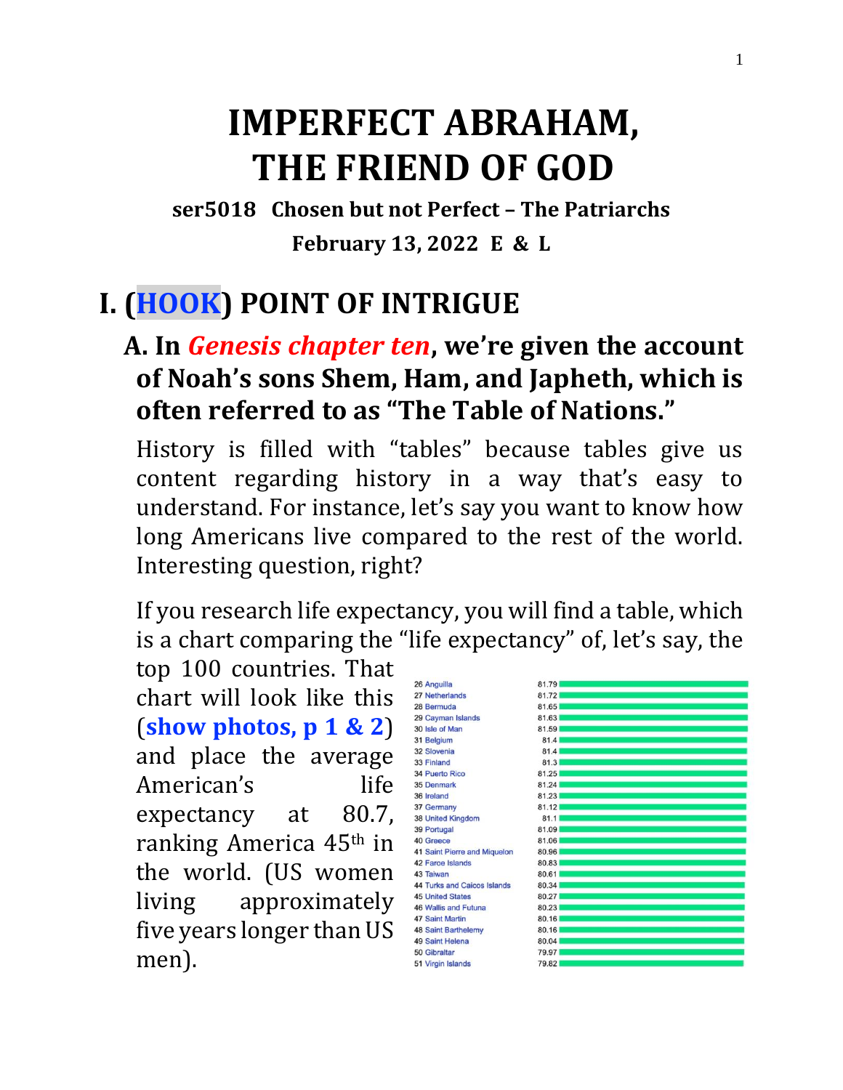# **IMPERFECT ABRAHAM, THE FRIEND OF GOD**

**ser5018 Chosen but not Perfect – The Patriarchs February 13, 2022 E & L**

## **I. (HOOK) POINT OF INTRIGUE**

#### **A. In** *Genesis chapter ten***, we're given the account of Noah's sons Shem, Ham, and Japheth, which is often referred to as "The Table of Nations."**

History is filled with "tables" because tables give us content regarding history in a way that's easy to understand. For instance, let's say you want to know how long Americans live compared to the rest of the world. Interesting question, right?

If you research life expectancy, you will find a table, which is a chart comparing the "life expectancy" of, let's say, the

top 100 countries. That chart will look like this (**show photos, p 1 & 2**) and place the average American's life expectancy at 80.7, ranking America 45th in the world. (US women living approximately five years longer than US men).

| 26 Anguilla                         | 81.79 |  |
|-------------------------------------|-------|--|
| 27 Netherlands                      | 81.72 |  |
| 28 Bermuda                          | 81.65 |  |
| 29 Cayman Islands                   | 81.63 |  |
| 30 Isle of Man                      | 81.59 |  |
| 31 Belgium                          | 81.4  |  |
| 32 Slovenia                         | 81.4  |  |
| 33 Finland                          | 81.3  |  |
| <b>34 Puerto Rico</b>               | 81.25 |  |
| 35 Denmark                          | 81.24 |  |
| 36 Ireland                          | 81.23 |  |
| 37 Germany                          | 81.12 |  |
| 38 United Kingdom                   | 81.1  |  |
| 39 Portugal                         | 81.09 |  |
| 40 Greece                           | 81.06 |  |
| <b>41 Saint Pierre and Miquelon</b> | 80.96 |  |
| 42 Faroe Islands                    | 80.83 |  |
| 43 Taiwan                           | 80.61 |  |
| <b>44 Turks and Caicos Islands</b>  | 80.34 |  |
| <b>45 United States</b>             | 80.27 |  |
| 46 Wallis and Futuna                | 80.23 |  |
| <b>47 Saint Martin</b>              | 80.16 |  |
| <b>48 Saint Barthelemy</b>          | 80.16 |  |
| 49 Saint Helena                     | 80.04 |  |
| 50 Gibraltar                        | 79.97 |  |
| 51 Virgin Islands                   | 79.82 |  |
|                                     |       |  |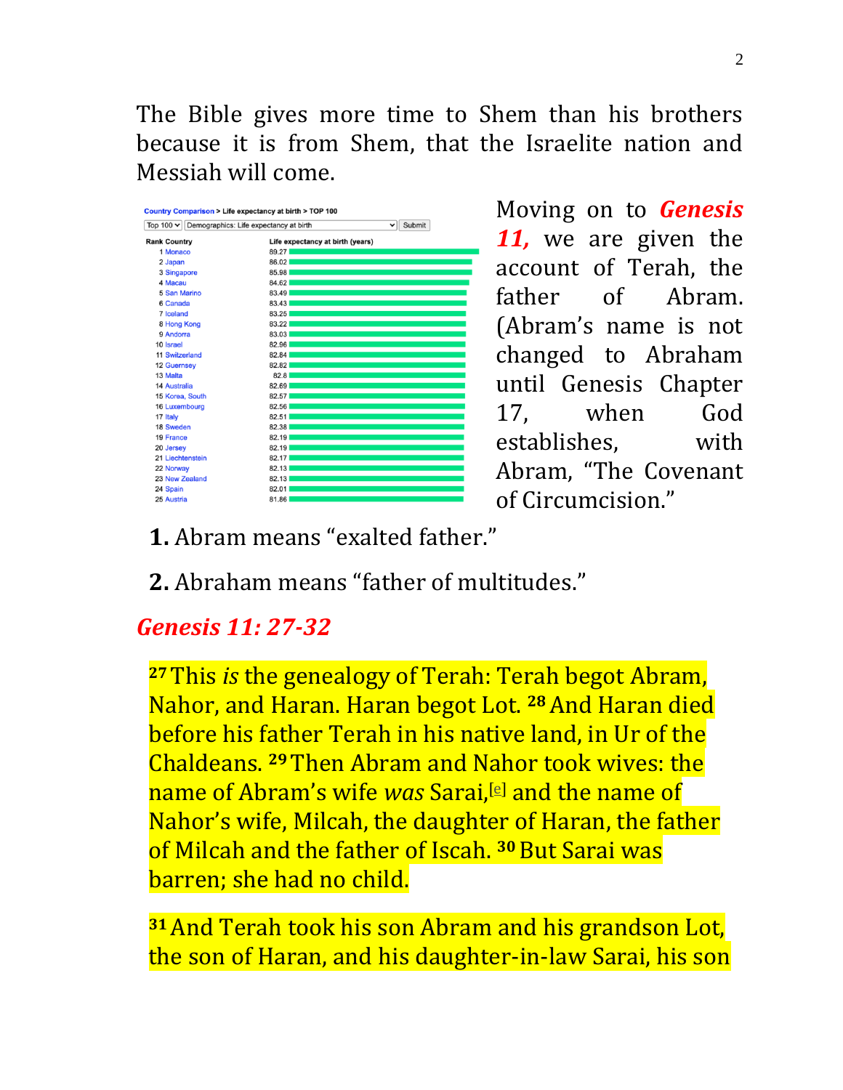The Bible gives more time to Shem than his brothers because it is from Shem, that the Israelite nation and Messiah will come.

| Submit<br>Top 100 $\sim$<br>Demographics: Life expectancy at birth<br>v |                                  |  |
|-------------------------------------------------------------------------|----------------------------------|--|
| <b>Rank Country</b>                                                     | Life expectancy at birth (years) |  |
| 1 Monaco                                                                | 89.27                            |  |
| 2 Japan                                                                 | 86.02                            |  |
| 3 Singapore                                                             | 85.98                            |  |
| 4 Macau                                                                 | 84.62                            |  |
| 5 San Marino                                                            | 83.49                            |  |
| 6 Canada                                                                | 83.43                            |  |
| 7 Iceland                                                               | 83.25                            |  |
| 8 Hong Kong                                                             | 83.22                            |  |
| 9 Andorra                                                               | 83.03                            |  |
| 10 Israel                                                               | 82.96                            |  |
| 11 Switzerland                                                          | 82.84                            |  |
| <b>12 Guernsey</b>                                                      | 82.82                            |  |
| 13 Malta                                                                | 82.8                             |  |
| <b>14 Australia</b>                                                     | 82.69                            |  |
| 15 Korea, South                                                         | 82.57                            |  |
| 16 Luxembourg                                                           | 82.56                            |  |
| 17 Italy                                                                | 82.51                            |  |
| 18 Sweden                                                               | 82.38                            |  |
| 19 France                                                               | 82.19                            |  |
| 20 Jersey                                                               | 82.19                            |  |
| 21 Liechtenstein                                                        | 82.17                            |  |
| 22 Norway                                                               | 82.13                            |  |
| 23 New Zealand                                                          | 82.13                            |  |
| 24 Spain                                                                | 82.01                            |  |
| 25 Austria                                                              | 81.86                            |  |

Moving on to *Genesis 11,* we are given the account of Terah, the father of Abram. (Abram's name is not changed to Abraham until Genesis Chapter 17, when God establishes, with Abram, "The Covenant of Circumcision."

- **1.** Abram means "exalted father."
- **2.** Abraham means "father of multitudes."

#### *Genesis 11: 27-32*

**<sup>27</sup>**This *is* the genealogy of Terah: Terah begot Abram, Nahor, and Haran. Haran begot Lot. **<sup>28</sup>**And Haran died before his father Terah in his native land, in Ur of the Chaldeans. **<sup>29</sup>**Then Abram and Nahor took wives: the name of Abram's wife *was* Sarai,[\[e\]](https://www.biblegateway.com/passage/?search=Genesis%2011&version=NKJV#fen-NKJV-296e) and the name of Nahor's wife, Milcah, the daughter of Haran, the father of Milcah and the father of Iscah. **<sup>30</sup>**But Sarai was barren; she had no child.

**<sup>31</sup>**And Terah took his son Abram and his grandson Lot, the son of Haran, and his daughter-in-law Sarai, his son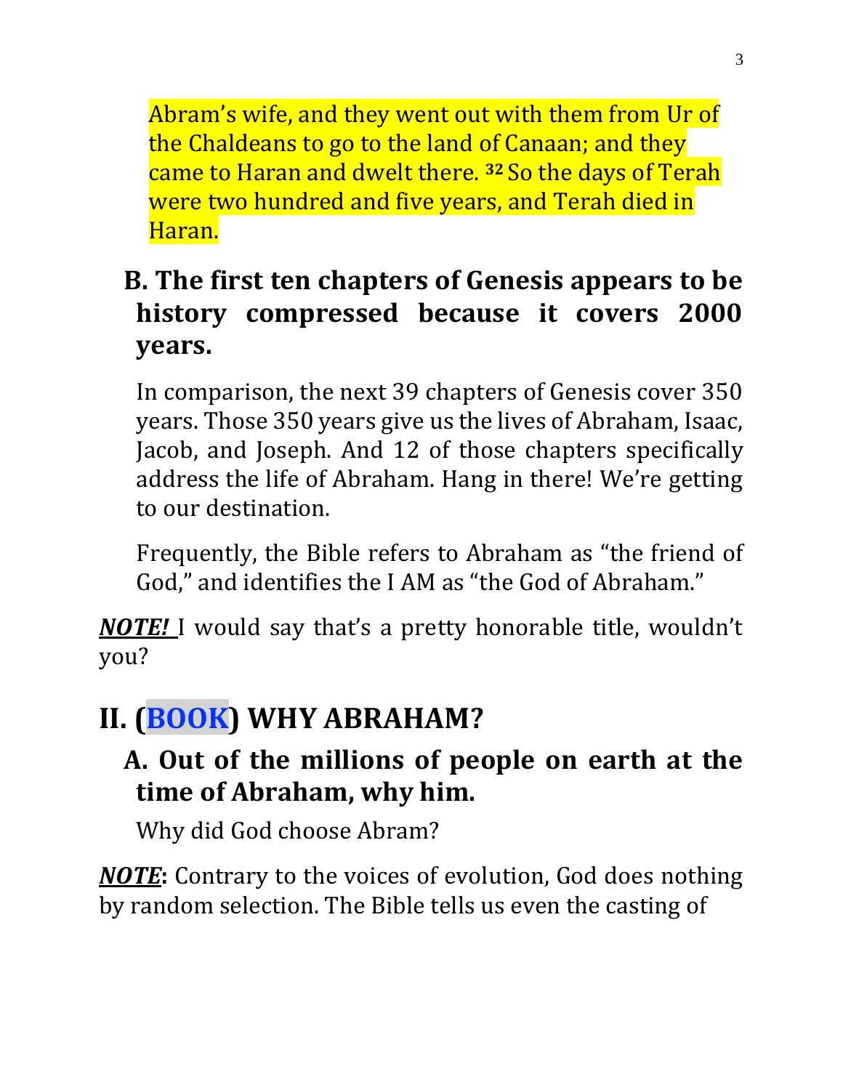Abram's wife, and they went out with them from Ur of the Chaldeans to go to the land of Canaan; and they came to Haran and dwelt there. **<sup>32</sup>** So the days of Terah were two hundred and five years, and Terah died in Haran.

## **B. The first ten chapters of Genesis appears to be history compressed because it covers 2000 years.**

In comparison, the next 39 chapters of Genesis cover 350 years. Those 350 years give us the lives of Abraham, Isaac, Jacob, and Joseph. And 12 of those chapters specifically address the life of Abraham. Hang in there! We're getting to our destination.

Frequently, the Bible refers to Abraham as "the friend of God," and identifies the I AM as "the God of Abraham."

*NOTE!* I would say that's a pretty honorable title, wouldn't you?

# **II. (BOOK) WHY ABRAHAM?**

#### **A. Out of the millions of people on earth at the time of Abraham, why him.**

Why did God choose Abram?

*NOTE***:** Contrary to the voices of evolution, God does nothing by random selection. The Bible tells us even the casting of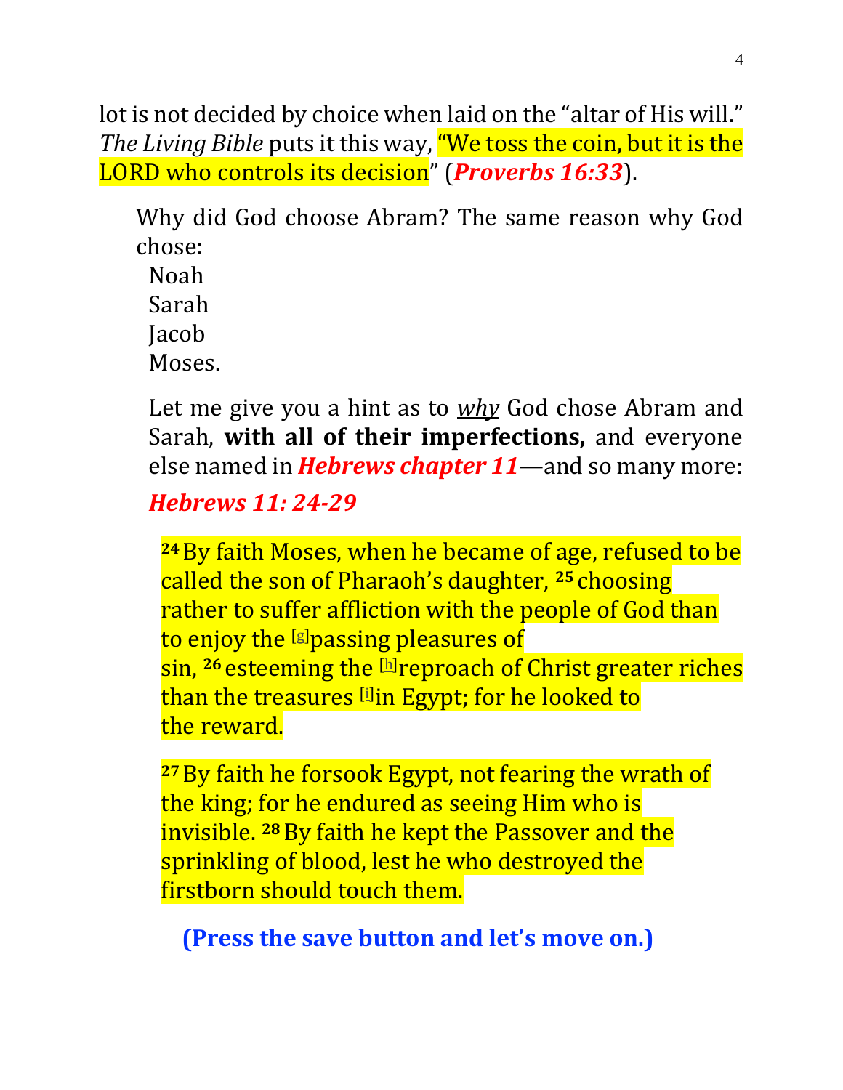lot is not decided by choice when laid on the "altar of His will." *The Living Bible* puts it this way, "We toss the coin, but it is the LORD who controls its decision" (*Proverbs 16:33*).

Why did God choose Abram? The same reason why God chose:

Noah Sarah **Jacob** Moses.

Let me give you a hint as to *why* God chose Abram and Sarah, **with all of their imperfections,** and everyone else named in *Hebrews chapter 11*—and so many more:

*Hebrews 11: 24-29*

**<sup>24</sup>**By faith Moses, when he became of age, refused to be called the son of Pharaoh's daughter, **<sup>25</sup>** choosing rather to suffer affliction with the people of God than to enjoy the [\[g\]](https://www.biblegateway.com/passage/?search=hebrews+11&version=NKJV#fen-NKJV-30198g)passing pleasures of sin, **<sup>26</sup>** esteeming the [\[h\]](https://www.biblegateway.com/passage/?search=hebrews+11&version=NKJV#fen-NKJV-30199h)reproach of Christ greater riches than the treasures [\[i\]](https://www.biblegateway.com/passage/?search=hebrews+11&version=NKJV#fen-NKJV-30199i) in Egypt; for he looked to the reward.

**<sup>27</sup>**By faith he forsook Egypt, not fearing the wrath of the king; for he endured as seeing Him who is invisible. **<sup>28</sup>**By faith he kept the Passover and the sprinkling of blood, lest he who destroyed the firstborn should touch them.

**(Press the save button and let's move on.)**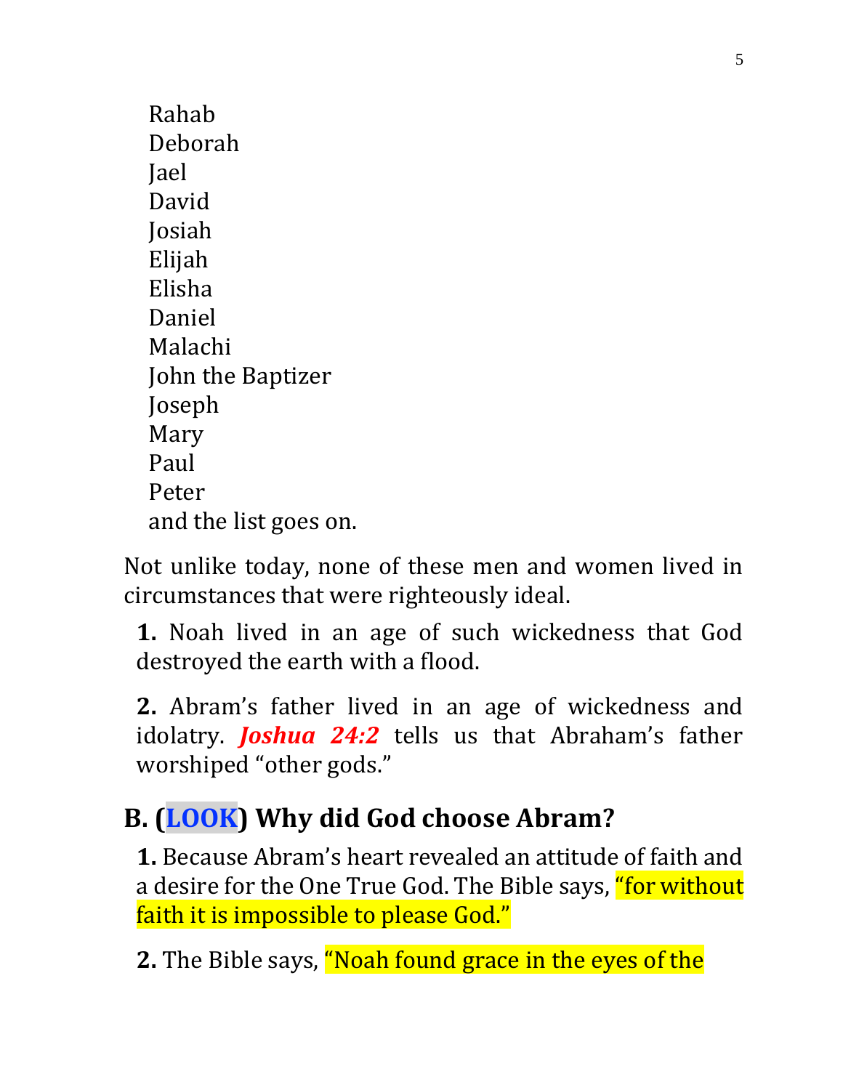Rahab Deborah Jael David Josiah Elijah Elisha Daniel Malachi John the Baptizer Joseph Mary Paul Peter and the list goes on.

Not unlike today, none of these men and women lived in circumstances that were righteously ideal.

**1.** Noah lived in an age of such wickedness that God destroyed the earth with a flood.

**2.** Abram's father lived in an age of wickedness and idolatry. *Joshua 24:2* tells us that Abraham's father worshiped "other gods."

# **B. (LOOK) Why did God choose Abram?**

**1.** Because Abram's heart revealed an attitude of faith and a desire for the One True God. The Bible says, "for without faith it is impossible to please God."

**2.** The Bible says, "Noah found grace in the eyes of the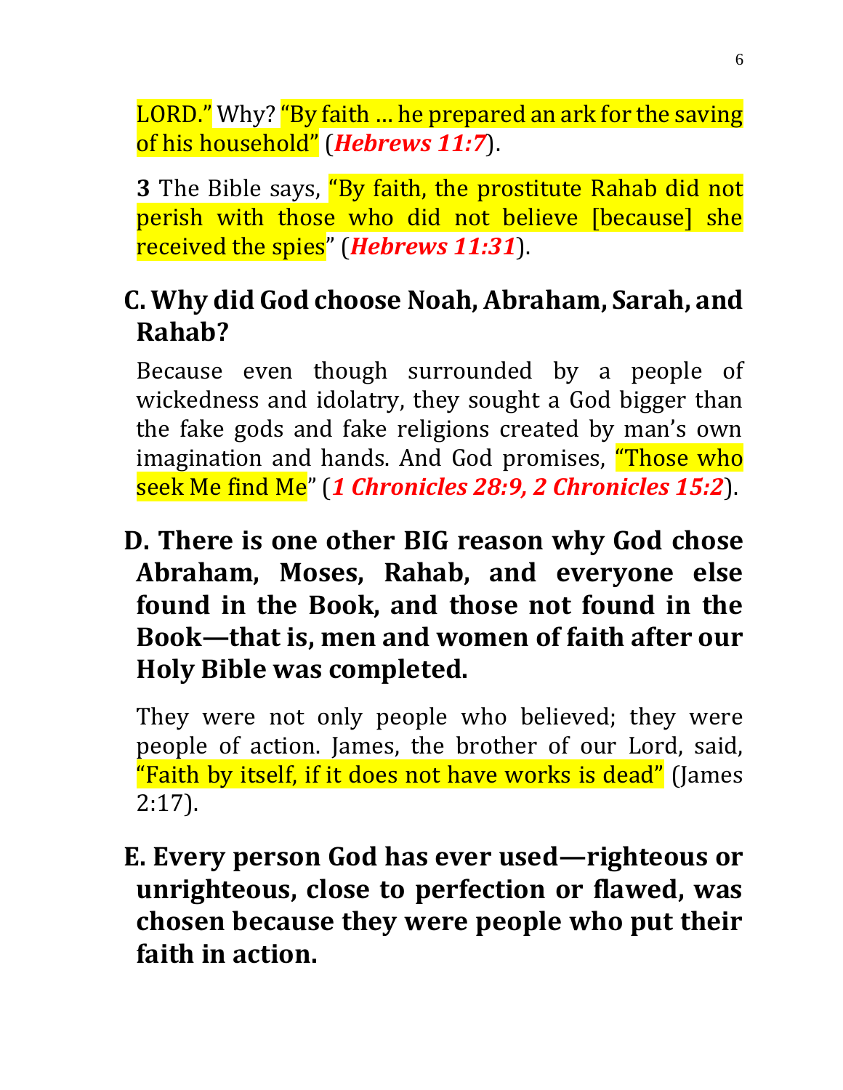LORD." Why? "By faith ... he prepared an ark for the saving of his household" (*Hebrews 11:7*).

**3** The Bible says, "By faith, the prostitute Rahab did not perish with those who did not believe [because] she received the spies" (*Hebrews 11:31*).

## **C. Why did God choose Noah, Abraham, Sarah, and Rahab?**

Because even though surrounded by a people of wickedness and idolatry, they sought a God bigger than the fake gods and fake religions created by man's own imagination and hands. And God promises, **"Those who** seek Me find Me" (*1 Chronicles 28:9, 2 Chronicles 15:2*).

**D. There is one other BIG reason why God chose Abraham, Moses, Rahab, and everyone else found in the Book, and those not found in the Book—that is, men and women of faith after our Holy Bible was completed.**

They were not only people who believed; they were people of action. James, the brother of our Lord, said, "Faith by itself, if it does not have works is dead" (James 2:17).

**E. Every person God has ever used—righteous or unrighteous, close to perfection or flawed, was chosen because they were people who put their faith in action.**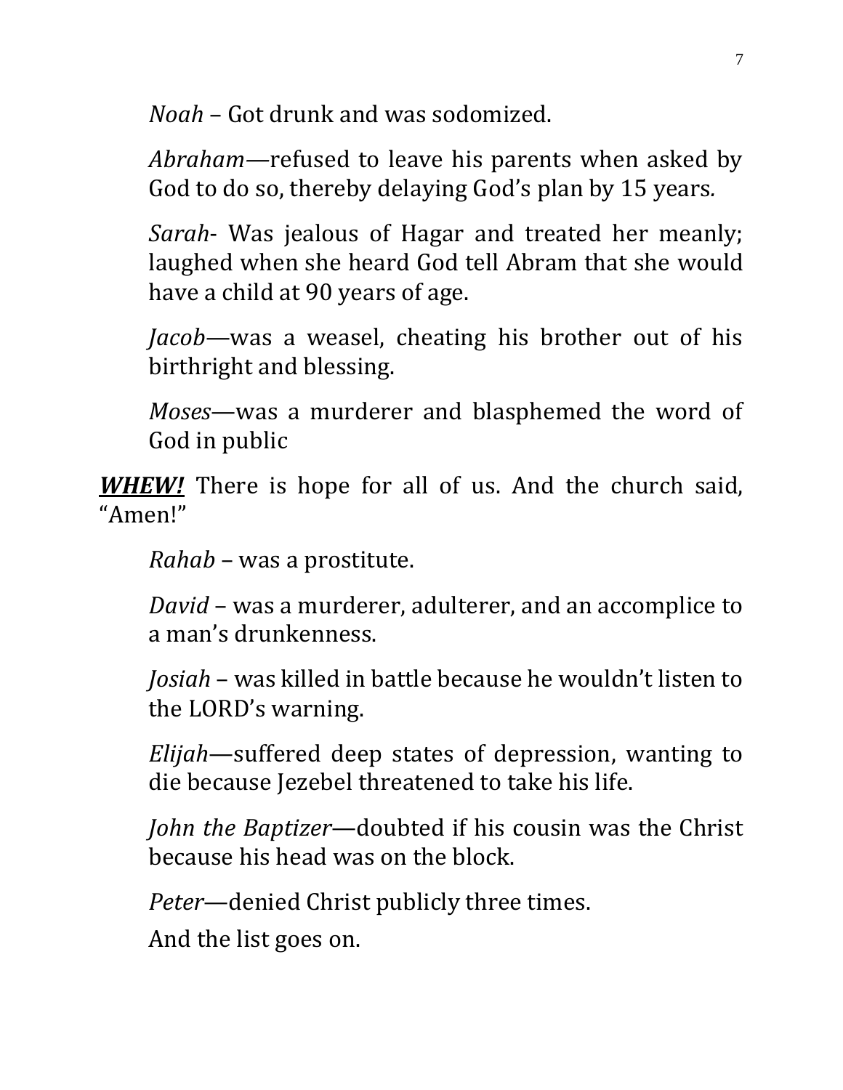*Noah* – Got drunk and was sodomized.

*Abraham—*refused to leave his parents when asked by God to do so, thereby delaying God's plan by 15 years*.*

*Sarah*- Was jealous of Hagar and treated her meanly; laughed when she heard God tell Abram that she would have a child at 90 years of age.

*Jacob*—was a weasel, cheating his brother out of his birthright and blessing.

*Moses*—was a murderer and blasphemed the word of God in public

*WHEW!* There is hope for all of us. And the church said, "Amen!"

*Rahab* – was a prostitute.

*David* – was a murderer, adulterer, and an accomplice to a man's drunkenness.

*Josiah* – was killed in battle because he wouldn't listen to the LORD's warning.

*Elijah*—suffered deep states of depression, wanting to die because Jezebel threatened to take his life.

*John the Baptizer*—doubted if his cousin was the Christ because his head was on the block.

*Peter*—denied Christ publicly three times.

And the list goes on.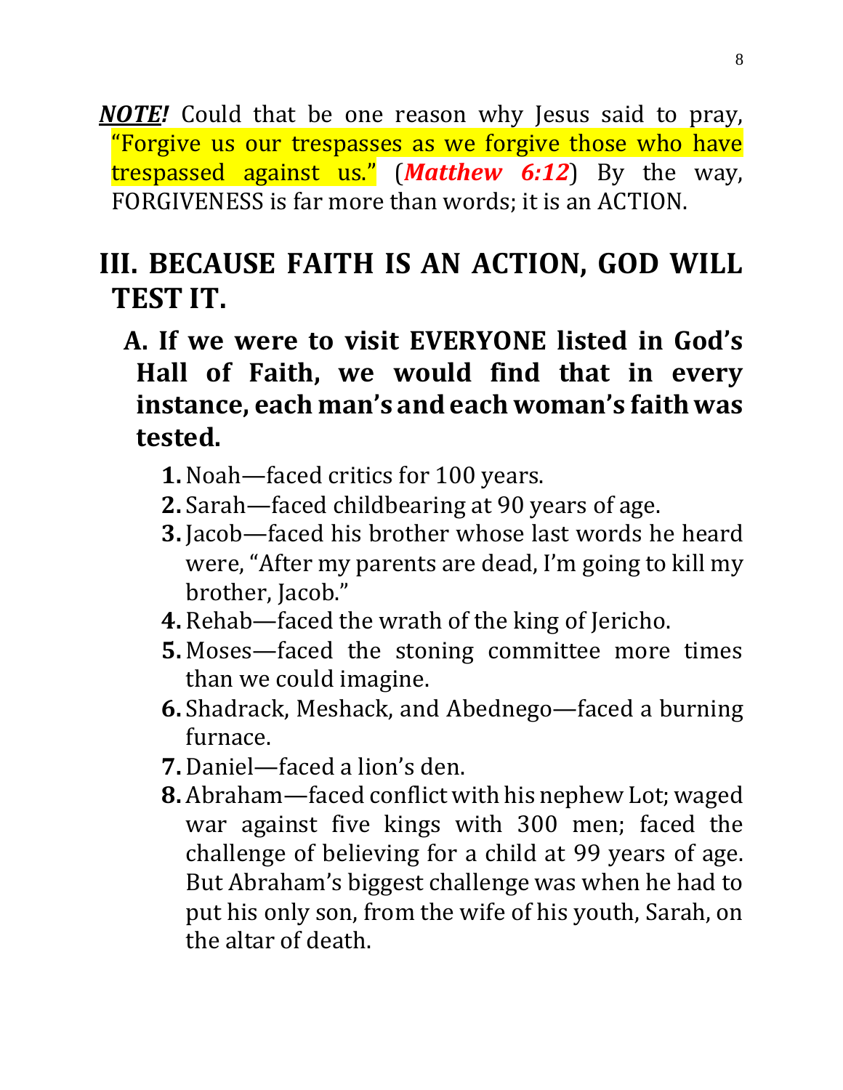*NOTE!* Could that be one reason why Jesus said to pray, "Forgive us our trespasses as we forgive those who have trespassed against us." (*Matthew 6:12*) By the way, FORGIVENESS is far more than words; it is an ACTION.

## **III. BECAUSE FAITH IS AN ACTION, GOD WILL TEST IT.**

- **A. If we were to visit EVERYONE listed in God's Hall of Faith, we would find that in every instance, each man's and each woman's faith was tested.**
	- **1.** Noah—faced critics for 100 years.
	- **2.** Sarah—faced childbearing at 90 years of age.
	- **3.** Jacob—faced his brother whose last words he heard were, "After my parents are dead, I'm going to kill my brother, Jacob."
	- **4.** Rehab—faced the wrath of the king of Jericho.
	- **5.** Moses—faced the stoning committee more times than we could imagine.
	- **6.** Shadrack, Meshack, and Abednego—faced a burning furnace.
	- **7.** Daniel—faced a lion's den.
	- **8.** Abraham—faced conflict with his nephew Lot; waged war against five kings with 300 men; faced the challenge of believing for a child at 99 years of age. But Abraham's biggest challenge was when he had to put his only son, from the wife of his youth, Sarah, on the altar of death.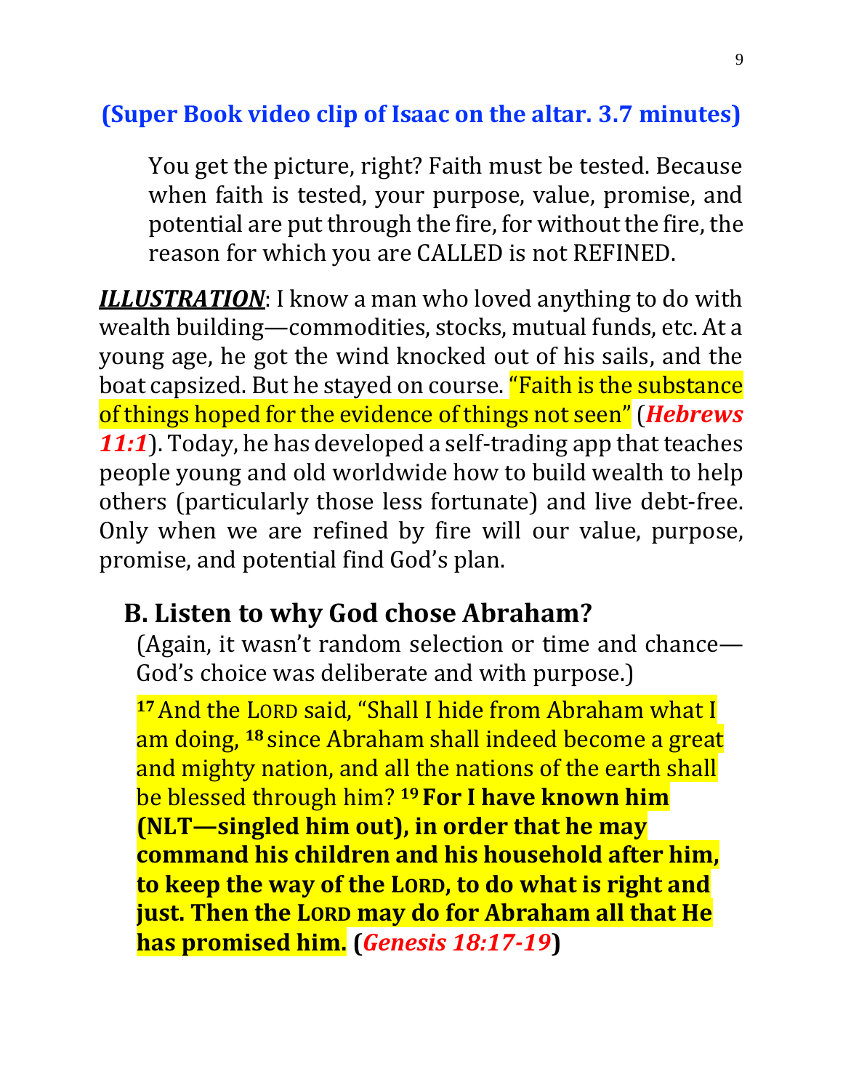#### **(Super Book video clip of Isaac on the altar. 3.7 minutes)**

You get the picture, right? Faith must be tested. Because when faith is tested, your purpose, value, promise, and potential are put through the fire, for without the fire, the reason for which you are CALLED is not REFINED.

*ILLUSTRATION*: I know a man who loved anything to do with wealth building—commodities, stocks, mutual funds, etc. At a young age, he got the wind knocked out of his sails, and the boat capsized. But he stayed on course. "Faith is the substance of things hoped for the evidence of things not seen"(*Hebrews 11:1*). Today, he has developed a self-trading app that teaches people young and old worldwide how to build wealth to help others (particularly those less fortunate) and live debt-free. Only when we are refined by fire will our value, purpose, promise, and potential find God's plan.

#### **B. Listen to why God chose Abraham?**

(Again, it wasn't random selection or time and chance— God's choice was deliberate and with purpose.)

**<sup>17</sup>**And the LORD said, "Shall I hide from Abraham what I am doing, **<sup>18</sup>** since Abraham shall indeed become a great and mighty nation, and all the nations of the earth shall be blessed through him? **<sup>19</sup> For I have known him (NLT—singled him out), in order that he may command his children and his household after him, to keep the way of the LORD, to do what is right and just. Then the LORD may do for Abraham all that He has promised him. (***Genesis 18:17-19***)**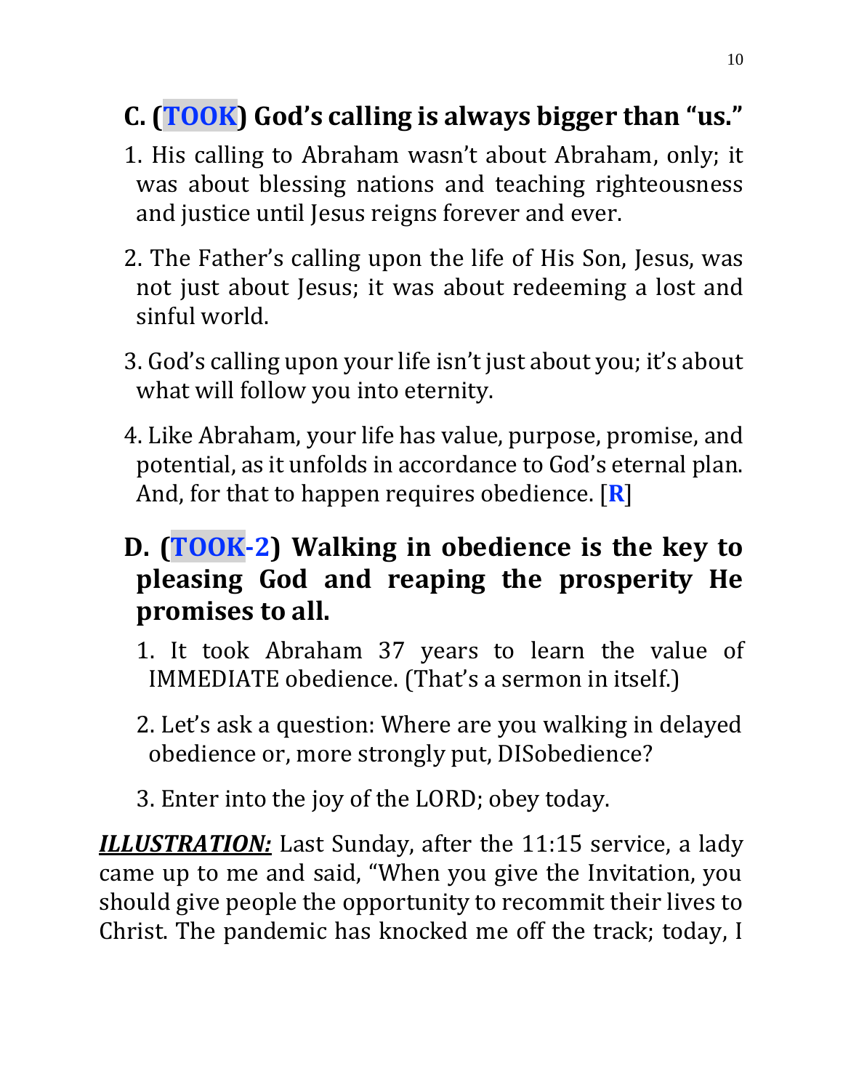## **C. (TOOK) God's calling is always bigger than "us."**

- 1. His calling to Abraham wasn't about Abraham, only; it was about blessing nations and teaching righteousness and justice until Jesus reigns forever and ever.
- 2. The Father's calling upon the life of His Son, Jesus, was not just about Jesus; it was about redeeming a lost and sinful world.
- 3. God's calling upon your life isn't just about you; it's about what will follow you into eternity.
- 4. Like Abraham, your life has value, purpose, promise, and potential, as it unfolds in accordance to God's eternal plan. And, for that to happen requires obedience. [**R**]

## **D. (TOOK-2) Walking in obedience is the key to pleasing God and reaping the prosperity He promises to all.**

- 1. It took Abraham 37 years to learn the value of IMMEDIATE obedience. (That's a sermon in itself.)
- 2. Let's ask a question: Where are you walking in delayed obedience or, more strongly put, DISobedience?
- 3. Enter into the joy of the LORD; obey today.

*ILLUSTRATION:* Last Sunday, after the 11:15 service, a lady came up to me and said, "When you give the Invitation, you should give people the opportunity to recommit their lives to Christ. The pandemic has knocked me off the track; today, I